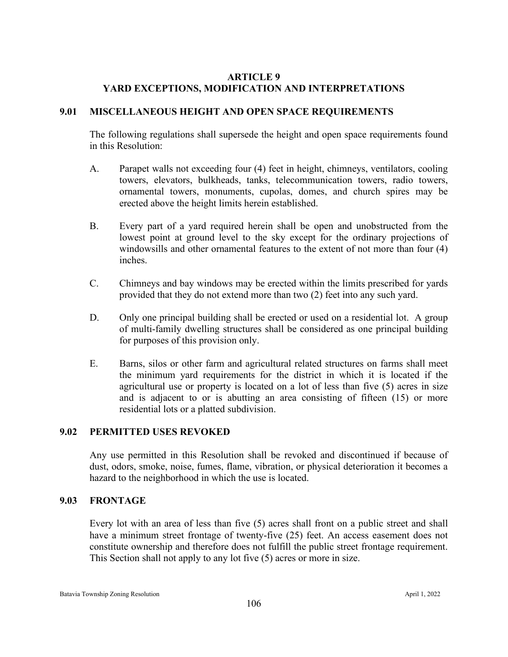# **ARTICLE 9 YARD EXCEPTIONS, MODIFICATION AND INTERPRETATIONS**

# **9.01 MISCELLANEOUS HEIGHT AND OPEN SPACE REQUIREMENTS**

The following regulations shall supersede the height and open space requirements found in this Resolution:

- A. Parapet walls not exceeding four (4) feet in height, chimneys, ventilators, cooling towers, elevators, bulkheads, tanks, telecommunication towers, radio towers, ornamental towers, monuments, cupolas, domes, and church spires may be erected above the height limits herein established.
- B. Every part of a yard required herein shall be open and unobstructed from the lowest point at ground level to the sky except for the ordinary projections of windowsills and other ornamental features to the extent of not more than four (4) inches.
- C. Chimneys and bay windows may be erected within the limits prescribed for yards provided that they do not extend more than two (2) feet into any such yard.
- D. Only one principal building shall be erected or used on a residential lot. A group of multi-family dwelling structures shall be considered as one principal building for purposes of this provision only.
- E. Barns, silos or other farm and agricultural related structures on farms shall meet the minimum yard requirements for the district in which it is located if the agricultural use or property is located on a lot of less than five (5) acres in size and is adjacent to or is abutting an area consisting of fifteen (15) or more residential lots or a platted subdivision.

# **9.02 PERMITTED USES REVOKED**

Any use permitted in this Resolution shall be revoked and discontinued if because of dust, odors, smoke, noise, fumes, flame, vibration, or physical deterioration it becomes a hazard to the neighborhood in which the use is located.

# **9.03 FRONTAGE**

Every lot with an area of less than five (5) acres shall front on a public street and shall have a minimum street frontage of twenty-five (25) feet. An access easement does not constitute ownership and therefore does not fulfill the public street frontage requirement. This Section shall not apply to any lot five (5) acres or more in size.